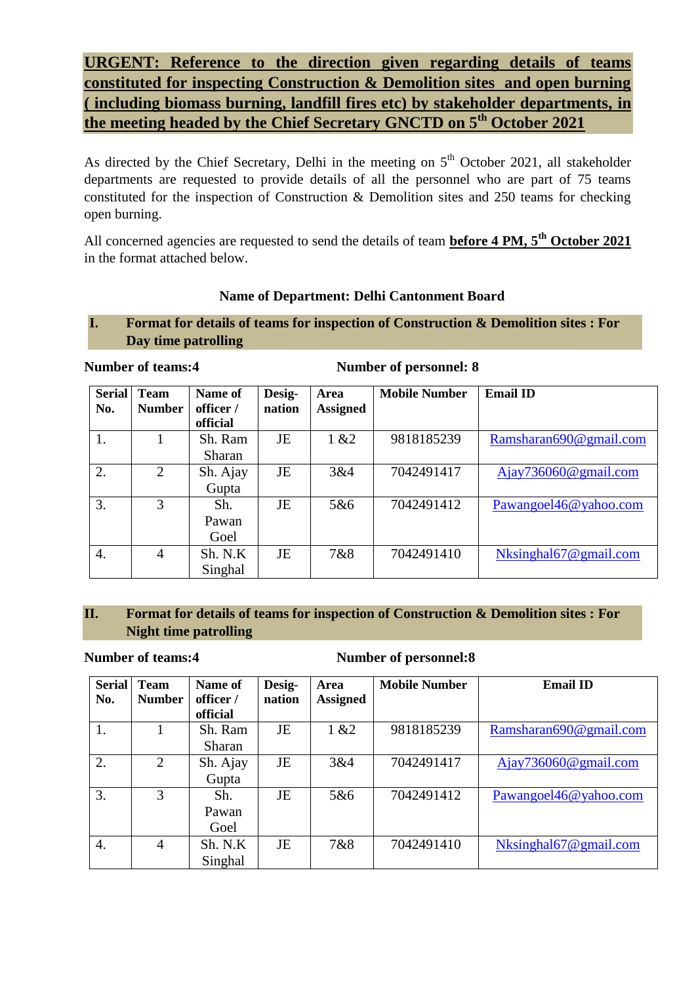**URGENT: Reference to the direction given regarding details of teams constituted for inspecting Construction & Demolition sites and open burning ( including biomass burning, landfill fires etc) by stakeholder departments, in the meeting headed by the Chief Secretary GNCTD on 5th October 2021**

As directed by the Chief Secretary, Delhi in the meeting on  $5<sup>th</sup>$  October 2021, all stakeholder departments are requested to provide details of all the personnel who are part of 75 teams constituted for the inspection of Construction & Demolition sites and 250 teams for checking open burning.

All concerned agencies are requested to send the details of team **before 4 PM, 5th October 2021** in the format attached below.

# **Name of Department: Delhi Cantonment Board**

# **I. Format for details of teams for inspection of Construction & Demolition sites : For Day time patrolling**

**Number of teams:4 Number of personnel: 8**

| <b>Serial</b><br>No. | <b>Team</b><br><b>Number</b> | Name of<br>officer /<br>official | Desig-<br>nation | Area<br><b>Assigned</b> | <b>Mobile Number</b> | <b>Email ID</b>             |
|----------------------|------------------------------|----------------------------------|------------------|-------------------------|----------------------|-----------------------------|
| 1.                   |                              | Sh. Ram<br><b>Sharan</b>         | JE               | 1 & 22                  | 9818185239           | Ramsharan690@gmail.com      |
| 2.                   | 2                            | Sh. Ajay<br>Gupta                | JE               | 3&4                     | 7042491417           | $A$ jay $736060$ @gmail.com |
| 3.                   | 3                            | Sh.<br>Pawan<br>Goel             | JE               | 5&6                     | 7042491412           | Pawangoel46@yahoo.com       |
| 4.                   | 4                            | Sh. N.K<br>Singhal               | JE               | 7&8                     | 7042491410           | Nksinghal67@gmail.com       |

## **II. Format for details of teams for inspection of Construction & Demolition sites : For Night time patrolling**

### **Number of teams:4 Number of personnel:8**

| <b>Serial</b><br>No. | <b>Team</b><br><b>Number</b> | Name of<br>officer /<br>official | Desig-<br>nation | Area<br><b>Assigned</b> | <b>Mobile Number</b> | <b>Email ID</b>             |
|----------------------|------------------------------|----------------------------------|------------------|-------------------------|----------------------|-----------------------------|
|                      |                              | Sh. Ram<br>Sharan                | JE               | 1 & 22                  | 9818185239           | Ramsharan690@gmail.com      |
| 2.                   | $\mathfrak{D}$               | Sh. Ajay<br>Gupta                | JE               | 3&4                     | 7042491417           | $A$ jay $736060$ @gmail.com |
| 3.                   | 3                            | Sh.<br>Pawan<br>Goel             | JE               | 5&6                     | 7042491412           | Pawangoel46@yahoo.com       |
| 4.                   | 4                            | Sh. N.K<br>Singhal               | <b>JE</b>        | 7&8                     | 7042491410           | Nksinghal 67@gmail.com      |